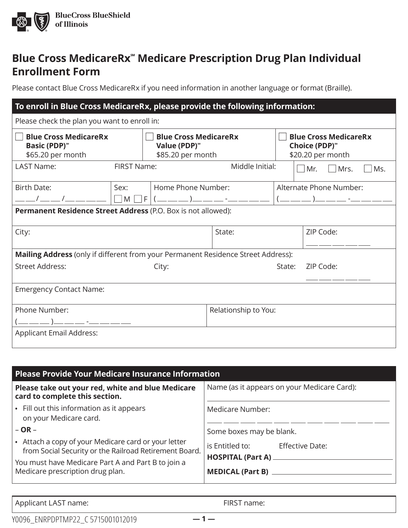

# **Blue Cross MedicareRx℠ Medicare Prescription Drug Plan Individual Enrollment Form**

Please contact Blue Cross MedicareRx if you need information in another language or format (Braille).

| To enroll in Blue Cross MedicareRx, please provide the following information:         |                    |                                                                               |        |                                                                    |                                      |  |
|---------------------------------------------------------------------------------------|--------------------|-------------------------------------------------------------------------------|--------|--------------------------------------------------------------------|--------------------------------------|--|
| Please check the plan you want to enroll in:                                          |                    |                                                                               |        |                                                                    |                                      |  |
| <b>Blue Cross MedicareRx</b><br><b>Basic (PDP)</b> <sup>**</sup><br>\$65.20 per month |                    | <b>Blue Cross MedicareRx</b><br>Value (PDP) <sup>®</sup><br>\$85.20 per month |        | <b>Blue Cross MedicareRx</b><br>Choice (PDP)"<br>\$20.20 per month |                                      |  |
| <b>LAST Name:</b>                                                                     | <b>FIRST Name:</b> | Middle Initial:                                                               |        |                                                                    | Mrs.<br>$\blacksquare$<br>Mr.<br>Ms. |  |
| Birth Date:                                                                           | Sex:               | Home Phone Number:                                                            |        |                                                                    | Alternate Phone Number:              |  |
| ___/____/______                                                                       | $\Box M \Box F$    |                                                                               |        |                                                                    |                                      |  |
| Permanent Residence Street Address (P.O. Box is not allowed):                         |                    |                                                                               |        |                                                                    |                                      |  |
| City:                                                                                 | State:             |                                                                               |        |                                                                    | ZIP Code:                            |  |
| Mailing Address (only if different from your Permanent Residence Street Address):     |                    |                                                                               |        |                                                                    |                                      |  |
| <b>Street Address:</b><br>City:                                                       |                    |                                                                               | State: | ZIP Code:                                                          |                                      |  |
| <b>Emergency Contact Name:</b>                                                        |                    |                                                                               |        |                                                                    |                                      |  |
| Phone Number:<br>Relationship to You:                                                 |                    |                                                                               |        |                                                                    |                                      |  |
| . — — ) — — — - — — — — —                                                             |                    |                                                                               |        |                                                                    |                                      |  |
| <b>Applicant Email Address:</b>                                                       |                    |                                                                               |        |                                                                    |                                      |  |

| Please Provide Your Medicare Insurance Information                                                             |                                             |  |  |  |
|----------------------------------------------------------------------------------------------------------------|---------------------------------------------|--|--|--|
| Please take out your red, white and blue Medicare<br>card to complete this section.                            | Name (as it appears on your Medicare Card): |  |  |  |
| • Fill out this information as it appears<br>on your Medicare card.                                            | Medicare Number:                            |  |  |  |
| $-$ OR $-$                                                                                                     | Some boxes may be blank.                    |  |  |  |
| • Attach a copy of your Medicare card or your letter<br>from Social Security or the Railroad Retirement Board. | is Entitled to:<br><b>Effective Date:</b>   |  |  |  |
| You must have Medicare Part A and Part B to join a                                                             |                                             |  |  |  |
| Medicare prescription drug plan.                                                                               |                                             |  |  |  |

Applicant LAST name: FIRST name: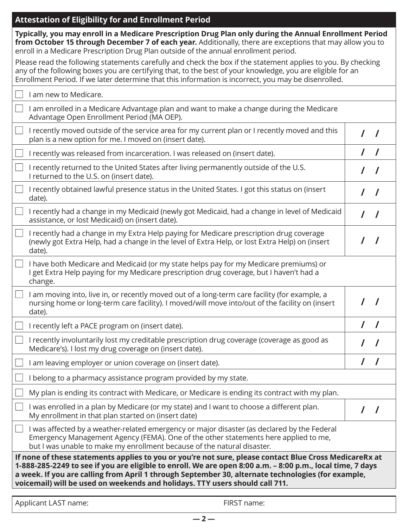# **Attestation of Eligibility for and Enrollment Period**

| Typically, you may enroll in a Medicare Prescription Drug Plan only during the Annual Enrollment Period<br>from October 15 through December 7 of each year. Additionally, there are exceptions that may allow you to<br>enroll in a Medicare Prescription Drug Plan outside of the annual enrollment period.                                                                                               |            |
|------------------------------------------------------------------------------------------------------------------------------------------------------------------------------------------------------------------------------------------------------------------------------------------------------------------------------------------------------------------------------------------------------------|------------|
| Please read the following statements carefully and check the box if the statement applies to you. By checking<br>any of the following boxes you are certifying that, to the best of your knowledge, you are eligible for an<br>Enrollment Period. If we later determine that this information is incorrect, you may be disenrolled.                                                                        |            |
| I am new to Medicare.                                                                                                                                                                                                                                                                                                                                                                                      |            |
| I am enrolled in a Medicare Advantage plan and want to make a change during the Medicare<br>Advantage Open Enrollment Period (MA OEP).                                                                                                                                                                                                                                                                     |            |
| I recently moved outside of the service area for my current plan or I recently moved and this<br>plan is a new option for me. I moved on (insert date).                                                                                                                                                                                                                                                    |            |
| I recently was released from incarceration. I was released on (insert date).                                                                                                                                                                                                                                                                                                                               | $\sqrt{ }$ |
| I recently returned to the United States after living permanently outside of the U.S.<br>I returned to the U.S. on (insert date).                                                                                                                                                                                                                                                                          |            |
| I recently obtained lawful presence status in the United States. I got this status on (insert<br>date).                                                                                                                                                                                                                                                                                                    | $\prime$   |
| I recently had a change in my Medicaid (newly got Medicaid, had a change in level of Medicaid<br>assistance, or lost Medicaid) on (insert date).                                                                                                                                                                                                                                                           |            |
| I recently had a change in my Extra Help paying for Medicare prescription drug coverage<br>(newly got Extra Help, had a change in the level of Extra Help, or lost Extra Help) on (insert<br>date).                                                                                                                                                                                                        | $\prime$   |
| I have both Medicare and Medicaid (or my state helps pay for my Medicare premiums) or<br>I get Extra Help paying for my Medicare prescription drug coverage, but I haven't had a<br>change.                                                                                                                                                                                                                |            |
| I am moving into, live in, or recently moved out of a long-term care facility (for example, a<br>nursing home or long-term care facility). I moved/will move into/out of the facility on (insert<br>date).                                                                                                                                                                                                 |            |
| I recently left a PACE program on (insert date).                                                                                                                                                                                                                                                                                                                                                           |            |
| I recently involuntarily lost my creditable prescription drug coverage (coverage as good as<br>Medicare's). I lost my drug coverage on (insert date).                                                                                                                                                                                                                                                      |            |
| I am leaving employer or union coverage on (insert date).                                                                                                                                                                                                                                                                                                                                                  |            |
| I belong to a pharmacy assistance program provided by my state.                                                                                                                                                                                                                                                                                                                                            |            |
| My plan is ending its contract with Medicare, or Medicare is ending its contract with my plan.                                                                                                                                                                                                                                                                                                             |            |
| I was enrolled in a plan by Medicare (or my state) and I want to choose a different plan.<br>My enrollment in that plan started on (insert date)                                                                                                                                                                                                                                                           |            |
| I was affected by a weather-related emergency or major disaster (as declared by the Federal<br>Emergency Management Agency (FEMA). One of the other statements here applied to me,<br>but I was unable to make my enrollment because of the natural disaster.                                                                                                                                              |            |
| If none of these statements applies to you or you're not sure, please contact Blue Cross MedicareRx at<br>1-888-285-2249 to see if you are eligible to enroll. We are open 8:00 a.m. - 8:00 p.m., local time, 7 days<br>a week. If you are calling from April 1 through September 30, alternate technologies (for example,<br>voicemail) will be used on weekends and holidays. TTY users should call 711. |            |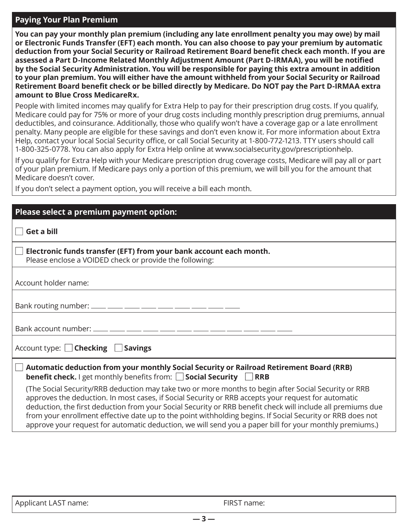#### **Paying Your Plan Premium**

**You can pay your monthly plan premium (including any late enrollment penalty you may owe) by mail or Electronic Funds Transfer (EFT) each month. You can also choose to pay your premium by automatic deduction from your Social Security or Railroad Retirement Board benefit check each month. If you are assessed a Part D-Income Related Monthly Adjustment Amount (Part D-IRMAA), you will be notified by the Social Security Administration. You will be responsible for paying this extra amount in addition to your plan premium. You will either have the amount withheld from your Social Security or Railroad Retirement Board benefit check or be billed directly by Medicare. Do NOT pay the Part D-IRMAA extra amount to Blue Cross MedicareRx.** 

People with limited incomes may qualify for Extra Help to pay for their prescription drug costs. If you qualify, Medicare could pay for 75% or more of your drug costs including monthly prescription drug premiums, annual deductibles, and coinsurance. Additionally, those who qualify won't have a coverage gap or a late enrollment penalty. Many people are eligible for these savings and don't even know it. For more information about Extra Help, contact your local Social Security office, or call Social Security at 1-800-772-1213. TTY users should call 1-800-325-0778. You can also apply for Extra Help online at [www.socialsecurity.gov/prescriptionhelp](http://www.socialsecurity.gov/prescriptionhelp).

If you qualify for Extra Help with your Medicare prescription drug coverage costs, Medicare will pay all or part of your plan premium. If Medicare pays only a portion of this premium, we will bill you for the amount that Medicare doesn't cover.

If you don't select a payment option, you will receive a bill each month.

| Please select a premium payment option:                                                                                                                                                                                                                                                                                                                                                                                                                                                                                                             |  |  |
|-----------------------------------------------------------------------------------------------------------------------------------------------------------------------------------------------------------------------------------------------------------------------------------------------------------------------------------------------------------------------------------------------------------------------------------------------------------------------------------------------------------------------------------------------------|--|--|
| <b>Get a bill</b>                                                                                                                                                                                                                                                                                                                                                                                                                                                                                                                                   |  |  |
| Electronic funds transfer (EFT) from your bank account each month.<br>Please enclose a VOIDED check or provide the following:                                                                                                                                                                                                                                                                                                                                                                                                                       |  |  |
| Account holder name:                                                                                                                                                                                                                                                                                                                                                                                                                                                                                                                                |  |  |
|                                                                                                                                                                                                                                                                                                                                                                                                                                                                                                                                                     |  |  |
|                                                                                                                                                                                                                                                                                                                                                                                                                                                                                                                                                     |  |  |
| Account type: <b>Checking</b> Savings                                                                                                                                                                                                                                                                                                                                                                                                                                                                                                               |  |  |
| Automatic deduction from your monthly Social Security or Railroad Retirement Board (RRB)<br><b>benefit check.</b> I get monthly benefits from: $\Box$ <b>Social Security</b> $\Box$ <b>RRB</b>                                                                                                                                                                                                                                                                                                                                                      |  |  |
| (The Social Security/RRB deduction may take two or more months to begin after Social Security or RRB<br>approves the deduction. In most cases, if Social Security or RRB accepts your request for automatic<br>deduction, the first deduction from your Social Security or RRB benefit check will include all premiums due<br>from your enrollment effective date up to the point withholding begins. If Social Security or RRB does not<br>approve your request for automatic deduction, we will send you a paper bill for your monthly premiums.) |  |  |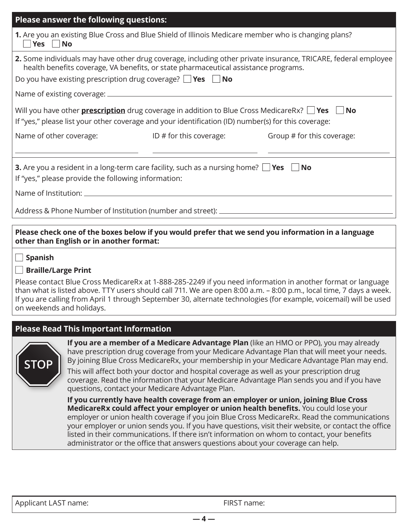| Please answer the following questions:                                                                                                                                                                                                                                         |                           |                            |  |  |
|--------------------------------------------------------------------------------------------------------------------------------------------------------------------------------------------------------------------------------------------------------------------------------|---------------------------|----------------------------|--|--|
| 1. Are you an existing Blue Cross and Blue Shield of Illinois Medicare member who is changing plans?<br>$\Box$ Yes $\Box$ No                                                                                                                                                   |                           |                            |  |  |
| 2. Some individuals may have other drug coverage, including other private insurance, TRICARE, federal employee<br>health benefits coverage, VA benefits, or state pharmaceutical assistance programs.<br>Do you have existing prescription drug coverage? $\Box$ Yes $\Box$ No |                           |                            |  |  |
| Will you have other <b>prescription</b> drug coverage in addition to Blue Cross MedicareRx? $\Box$ <b>Yes</b> $\Box$ <b>No</b><br>If "yes," please list your other coverage and your identification (ID) number(s) for this coverage:                                          |                           |                            |  |  |
| Name of other coverage:                                                                                                                                                                                                                                                        | ID $#$ for this coverage: | Group # for this coverage: |  |  |
| <b>3.</b> Are you a resident in a long-term care facility, such as a nursing home? $\Box$ Yes $\Box$ No<br>If "yes," please provide the following information:                                                                                                                 |                           |                            |  |  |
|                                                                                                                                                                                                                                                                                |                           |                            |  |  |
| Address & Phone Number of Institution (number and street): __________                                                                                                                                                                                                          |                           |                            |  |  |
|                                                                                                                                                                                                                                                                                |                           |                            |  |  |

**Please check one of the boxes below if you would prefer that we send you information in a language other than English or in another format:** 

## ■ **Spanish**

## ■ **Braille/Large Print**

Please contact Blue Cross MedicareRx at 1-888-285-2249 if you need information in another format or language than what is listed above. TTY users should call 711. We are open 8:00 a.m. – 8:00 p.m., local time, 7 days a week. If you are calling from April 1 through September 30, alternate technologies (for example, voicemail) will be used on weekends and holidays.

### **Please Read This Important Information**



**If you are a member of a Medicare Advantage Plan** (like an HMO or PPO), you may already have prescription drug coverage from your Medicare Advantage Plan that will meet your needs. By joining Blue Cross MedicareRx, your membership in your Medicare Advantage Plan may end.

This will affect both your doctor and hospital coverage as well as your prescription drug coverage. Read the information that your Medicare Advantage Plan sends you and if you have questions, contact your Medicare Advantage Plan.

**If you currently have health coverage from an employer or union, joining Blue Cross MedicareRx could affect your employer or union health benefits.** You could lose your employer or union health coverage if you join Blue Cross MedicareRx. Read the communications your employer or union sends you. If you have questions, visit their website, or contact the office listed in their communications. If there isn't information on whom to contact, your benefits administrator or the office that answers questions about your coverage can help.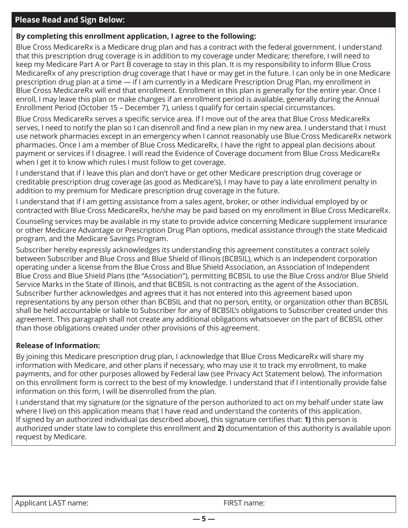#### **Please Read and Sign Below:**

### **By completing this enrollment application, I agree to the following:**

Blue Cross MedicareRx is a Medicare drug plan and has a contract with the federal government. I understand that this prescription drug coverage is in addition to my coverage under Medicare; therefore, I will need to keep my Medicare Part A or Part B coverage to stay in this plan. It is my responsibility to inform Blue Cross MedicareRx of any prescription drug coverage that I have or may get in the future. I can only be in one Medicare prescription drug plan at a time — if I am currently in a Medicare Prescription Drug Plan, my enrollment in Blue Cross MedicareRx will end that enrollment. Enrollment in this plan is generally for the entire year. Once I enroll, I may leave this plan or make changes if an enrollment period is available, generally during the Annual Enrollment Period (October 15 – December 7), unless I qualify for certain special circumstances.

Blue Cross MedicareRx serves a specific service area. If I move out of the area that Blue Cross MedicareRx serves, I need to notify the plan so I can disenroll and find a new plan in my new area. I understand that I must use network pharmacies except in an emergency when I cannot reasonably use Blue Cross MedicareRx network pharmacies. Once I am a member of Blue Cross MedicareRx, I have the right to appeal plan decisions about payment or services if I disagree. I will read the Evidence of Coverage document from Blue Cross MedicareRx when I get it to know which rules I must follow to get coverage.

I understand that if I leave this plan and don't have or get other Medicare prescription drug coverage or creditable prescription drug coverage (as good as Medicare's), I may have to pay a late enrollment penalty in addition to my premium for Medicare prescription drug coverage in the future.

I understand that if I am getting assistance from a sales agent, broker, or other individual employed by or contracted with Blue Cross MedicareRx, he/she may be paid based on my enrollment in Blue Cross MedicareRx.

Counseling services may be available in my state to provide advice concerning Medicare supplement insurance or other Medicare Advantage or Prescription Drug Plan options, medical assistance through the state Medicaid program, and the Medicare Savings Program.

Subscriber hereby expressly acknowledges its understanding this agreement constitutes a contract solely between Subscriber and Blue Cross and Blue Shield of Illinois (BCBSIL), which is an independent corporation operating under a license from the Blue Cross and Blue Shield Association, an Association of Independent Blue Cross and Blue Shield Plans (the "Association"), permitting BCBSIL to use the Blue Cross and/or Blue Shield Service Marks in the State of Illinois, and that BCBSIL is not contracting as the agent of the Association. Subscriber further acknowledges and agrees that it has not entered into this agreement based upon representations by any person other than BCBSIL and that no person, entity, or organization other than BCBSIL shall be held accountable or liable to Subscriber for any of BCBSIL's obligations to Subscriber created under this agreement. This paragraph shall not create any additional obligations whatsoever on the part of BCBSIL other than those obligations created under other provisions of this agreement.

## **Release of Information:**

By joining this Medicare prescription drug plan, I acknowledge that Blue Cross MedicareRx will share my information with Medicare, and other plans if necessary, who may use it to track my enrollment, to make payments, and for other purposes allowed by Federal law (see Privacy Act Statement below). The information on this enrollment form is correct to the best of my knowledge. I understand that if I intentionally provide false information on this form, I will be disenrolled from the plan.

I understand that my signature (or the signature of the person authorized to act on my behalf under state law where I live) on this application means that I have read and understand the contents of this application. If signed by an authorized individual (as described above), this signature certifies that: **1)** this person is authorized under state law to complete this enrollment and **2)** documentation of this authority is available upon request by Medicare.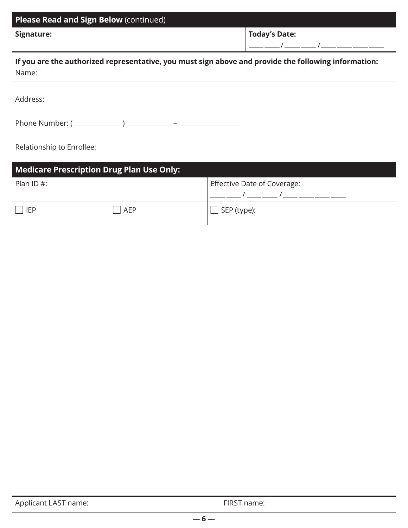| Please Read and Sign Below (continued)                                                                        |                      |  |  |
|---------------------------------------------------------------------------------------------------------------|----------------------|--|--|
| Signature:                                                                                                    | <b>Today's Date:</b> |  |  |
|                                                                                                               | $\sqrt{2}$           |  |  |
| If you are the authorized representative, you must sign above and provide the following information:<br>Name: |                      |  |  |
|                                                                                                               |                      |  |  |
| Address:                                                                                                      |                      |  |  |
|                                                                                                               |                      |  |  |
| Phone Number: $(\_\_\_\_\_\_\_\_)\_\_\_\_\_\_\_$                                                              |                      |  |  |
|                                                                                                               |                      |  |  |
| Relationship to Enrollee:                                                                                     |                      |  |  |

| Medicare Prescription Drug Plan Use Only: |     |                             |  |
|-------------------------------------------|-----|-----------------------------|--|
| Plan ID $#$ :                             |     | Effective Date of Coverage: |  |
| <b>IFP</b>                                | AEP | SEP (type):                 |  |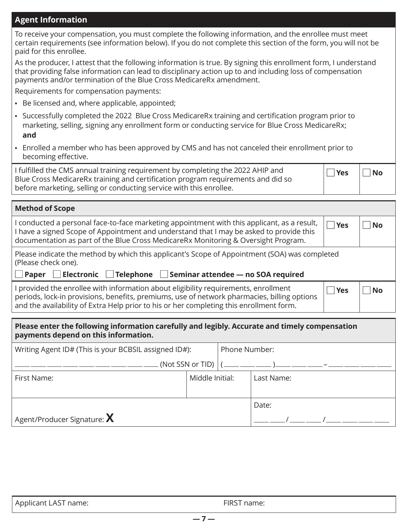#### **Agent Information**

**Method of Scope** 

To receive your compensation, you must complete the following information, and the enrollee must meet certain requirements (see information below). If you do not complete this section of the form, you will not be paid for this enrollee.

As the producer, I attest that the following information is true. By signing this enrollment form, I understand that providing false information can lead to disciplinary action up to and including loss of compensation payments and/or termination of the Blue Cross MedicareRx amendment.

Requirements for compensation payments:

- **•** Be licensed and, where applicable, appointed;
- **•** Successfully completed the 2022 Blue Cross MedicareRx training and certification program prior to marketing, selling, signing any enrollment form or conducting service for Blue Cross MedicareRx; **and**
- **•** Enrolled a member who has been approved by CMS and has not canceled their enrollment prior to becoming effective.

I fulfilled the CMS annual training requirement by completing the 2022 AHIP and Blue Cross MedicareRx training and certification program requirements and did so before marketing, selling or conducting service with this enrollee.

| <b>Yes</b> | $\Box$ No |
|------------|-----------|
|            |           |

| <b>NIGLITION OF SCOPE</b>                                                                                                                                                                                                                                                                     |  |            |           |
|-----------------------------------------------------------------------------------------------------------------------------------------------------------------------------------------------------------------------------------------------------------------------------------------------|--|------------|-----------|
| I conducted a personal face-to-face marketing appointment with this applicant, as a result,<br>$\exists$ Yes<br>I have a signed Scope of Appointment and understand that I may be asked to provide this<br>documentation as part of the Blue Cross MedicareRx Monitoring & Oversight Program. |  |            | <b>No</b> |
| Please indicate the method by which this applicant's Scope of Appointment (SOA) was completed<br>(Please check one).                                                                                                                                                                          |  |            |           |
| <b>Paper</b> Electronic Telephone Seminar attendee — no SOA required                                                                                                                                                                                                                          |  |            |           |
| I provided the enrollee with information about eligibility requirements, enrollment<br>ومعائلهم ومعازلاتها ومواجهته ومعاور باسمين بالمواكم ومرزر ومعربان ومستحدث وعائله ويماني والمتحدث والمستحدث والمستعد                                                                                    |  | <b>Yes</b> | No        |

periods, lock-in provisions, benefits, premiums, use of network pharmacies, billing options and the availability of Extra Help prior to his or her completing this enrollment form.

| Please enter the following information carefully and legibly. Accurate and timely compensation<br>payments depend on this information. |  |
|----------------------------------------------------------------------------------------------------------------------------------------|--|

| Writing Agent ID# (This is your BCBSIL assigned ID#): |                 | Phone Number: |                                            |
|-------------------------------------------------------|-----------------|---------------|--------------------------------------------|
|                                                       |                 |               | (Not SSN or TID)   (____ ____ ___ )____ __ |
| First Name:                                           | Middle Initial: |               | Last Name:                                 |
|                                                       |                 |               |                                            |
|                                                       |                 |               | Date:                                      |
| Agent/Producer Signature: $\bm{X}$                    |                 |               |                                            |